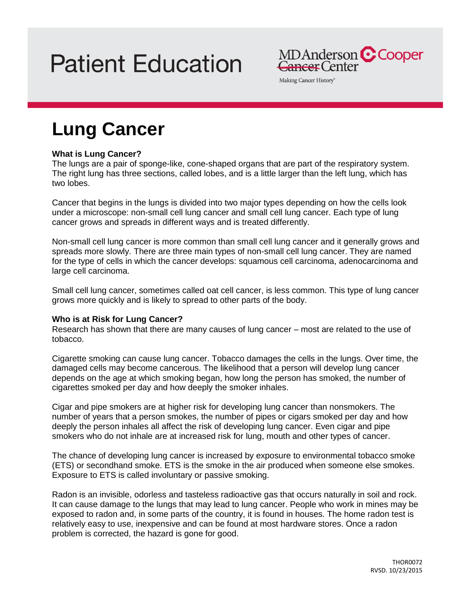# **Patient Education**

MDAnderson C Cooper Cancer Center

Making Cancer History®

# **Lung Cancer**

# **What is Lung Cancer?**

The lungs are a pair of sponge-like, cone-shaped organs that are part of the respiratory system. The right lung has three sections, called lobes, and is a little larger than the left lung, which has two lobes.

Cancer that begins in the lungs is divided into two major types depending on how the cells look under a microscope: non-small cell lung cancer and small cell lung cancer. Each type of lung cancer grows and spreads in different ways and is treated differently.

Non-small cell lung cancer is more common than small cell lung cancer and it generally grows and spreads more slowly. There are three main types of non-small cell lung cancer. They are named for the type of cells in which the cancer develops: squamous cell carcinoma, adenocarcinoma and large cell carcinoma.

Small cell lung cancer, sometimes called oat cell cancer, is less common. This type of lung cancer grows more quickly and is likely to spread to other parts of the body.

# **Who is at Risk for Lung Cancer?**

Research has shown that there are many causes of lung cancer – most are related to the use of tobacco.

Cigarette smoking can cause lung cancer. Tobacco damages the cells in the lungs. Over time, the damaged cells may become cancerous. The likelihood that a person will develop lung cancer depends on the age at which smoking began, how long the person has smoked, the number of cigarettes smoked per day and how deeply the smoker inhales.

Cigar and pipe smokers are at higher risk for developing lung cancer than nonsmokers. The number of years that a person smokes, the number of pipes or cigars smoked per day and how deeply the person inhales all affect the risk of developing lung cancer. Even cigar and pipe smokers who do not inhale are at increased risk for lung, mouth and other types of cancer.

The chance of developing lung cancer is increased by exposure to environmental tobacco smoke (ETS) or secondhand smoke. ETS is the smoke in the air produced when someone else smokes. Exposure to ETS is called involuntary or passive smoking.

Radon is an invisible, odorless and tasteless radioactive gas that occurs naturally in soil and rock. It can cause damage to the lungs that may lead to lung cancer. People who work in mines may be exposed to radon and, in some parts of the country, it is found in houses. The home radon test is relatively easy to use, inexpensive and can be found at most hardware stores. Once a radon problem is corrected, the hazard is gone for good.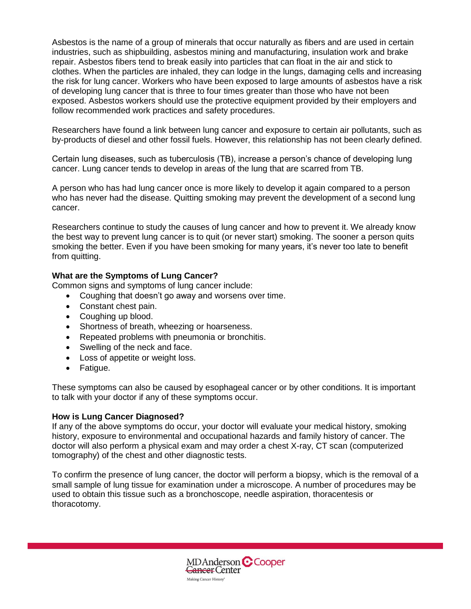Asbestos is the name of a group of minerals that occur naturally as fibers and are used in certain industries, such as shipbuilding, asbestos mining and manufacturing, insulation work and brake repair. Asbestos fibers tend to break easily into particles that can float in the air and stick to clothes. When the particles are inhaled, they can lodge in the lungs, damaging cells and increasing the risk for lung cancer. Workers who have been exposed to large amounts of asbestos have a risk of developing lung cancer that is three to four times greater than those who have not been exposed. Asbestos workers should use the protective equipment provided by their employers and follow recommended work practices and safety procedures.

Researchers have found a link between lung cancer and exposure to certain air pollutants, such as by-products of diesel and other fossil fuels. However, this relationship has not been clearly defined.

Certain lung diseases, such as tuberculosis (TB), increase a person's chance of developing lung cancer. Lung cancer tends to develop in areas of the lung that are scarred from TB.

A person who has had lung cancer once is more likely to develop it again compared to a person who has never had the disease. Quitting smoking may prevent the development of a second lung cancer.

Researchers continue to study the causes of lung cancer and how to prevent it. We already know the best way to prevent lung cancer is to quit (or never start) smoking. The sooner a person quits smoking the better. Even if you have been smoking for many years, it's never too late to benefit from quitting.

# **What are the Symptoms of Lung Cancer?**

Common signs and symptoms of lung cancer include:

- Coughing that doesn't go away and worsens over time.
- Constant chest pain.
- Coughing up blood.
- Shortness of breath, wheezing or hoarseness.
- Repeated problems with pneumonia or bronchitis.
- Swelling of the neck and face.
- Loss of appetite or weight loss.
- Fatigue.

These symptoms can also be caused by esophageal cancer or by other conditions. It is important to talk with your doctor if any of these symptoms occur.

#### **How is Lung Cancer Diagnosed?**

If any of the above symptoms do occur, your doctor will evaluate your medical history, smoking history, exposure to environmental and occupational hazards and family history of cancer. The doctor will also perform a physical exam and may order a chest X-ray, CT scan (computerized tomography) of the chest and other diagnostic tests.

To confirm the presence of lung cancer, the doctor will perform a biopsy, which is the removal of a small sample of lung tissue for examination under a microscope. A number of procedures may be used to obtain this tissue such as a bronchoscope, needle aspiration, thoracentesis or thoracotomy.

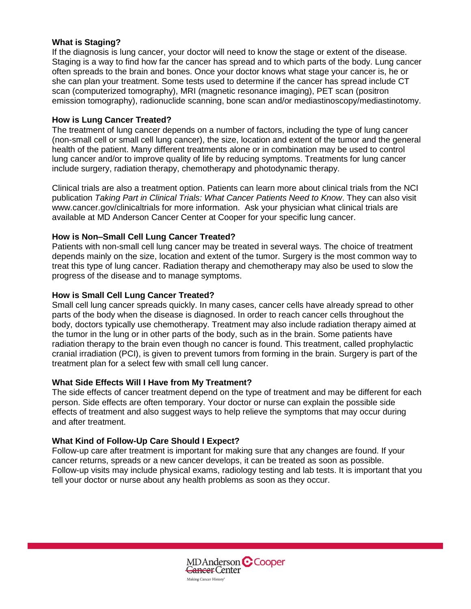#### **What is Staging?**

If the diagnosis is lung cancer, your doctor will need to know the stage or extent of the disease. Staging is a way to find how far the cancer has spread and to which parts of the body. Lung cancer often spreads to the brain and bones. Once your doctor knows what stage your cancer is, he or she can plan your treatment. Some tests used to determine if the cancer has spread include CT scan (computerized tomography), MRI (magnetic resonance imaging), PET scan (positron emission tomography), radionuclide scanning, bone scan and/or mediastinoscopy/mediastinotomy.

#### **How is Lung Cancer Treated?**

The treatment of lung cancer depends on a number of factors, including the type of lung cancer (non-small cell or small cell lung cancer), the size, location and extent of the tumor and the general health of the patient. Many different treatments alone or in combination may be used to control lung cancer and/or to improve quality of life by reducing symptoms. Treatments for lung cancer include surgery, radiation therapy, chemotherapy and photodynamic therapy.

Clinical trials are also a treatment option. Patients can learn more about clinical trials from the NCI publication *Taking Part in Clinical Trials: What Cancer Patients Need to Know*. They can also visit www.cancer.gov/clinicaltrials for more information. Ask your physician what clinical trials are available at MD Anderson Cancer Center at Cooper for your specific lung cancer.

# **How is Non–Small Cell Lung Cancer Treated?**

Patients with non-small cell lung cancer may be treated in several ways. The choice of treatment depends mainly on the size, location and extent of the tumor. Surgery is the most common way to treat this type of lung cancer. Radiation therapy and chemotherapy may also be used to slow the progress of the disease and to manage symptoms.

#### **How is Small Cell Lung Cancer Treated?**

Small cell lung cancer spreads quickly. In many cases, cancer cells have already spread to other parts of the body when the disease is diagnosed. In order to reach cancer cells throughout the body, doctors typically use chemotherapy. Treatment may also include radiation therapy aimed at the tumor in the lung or in other parts of the body, such as in the brain. Some patients have radiation therapy to the brain even though no cancer is found. This treatment, called prophylactic cranial irradiation (PCI), is given to prevent tumors from forming in the brain. Surgery is part of the treatment plan for a select few with small cell lung cancer.

# **What Side Effects Will I Have from My Treatment?**

The side effects of cancer treatment depend on the type of treatment and may be different for each person. Side effects are often temporary. Your doctor or nurse can explain the possible side effects of treatment and also suggest ways to help relieve the symptoms that may occur during and after treatment.

# **What Kind of Follow-Up Care Should I Expect?**

Follow-up care after treatment is important for making sure that any changes are found. If your cancer returns, spreads or a new cancer develops, it can be treated as soon as possible. Follow-up visits may include physical exams, radiology testing and lab tests. It is important that you tell your doctor or nurse about any health problems as soon as they occur.